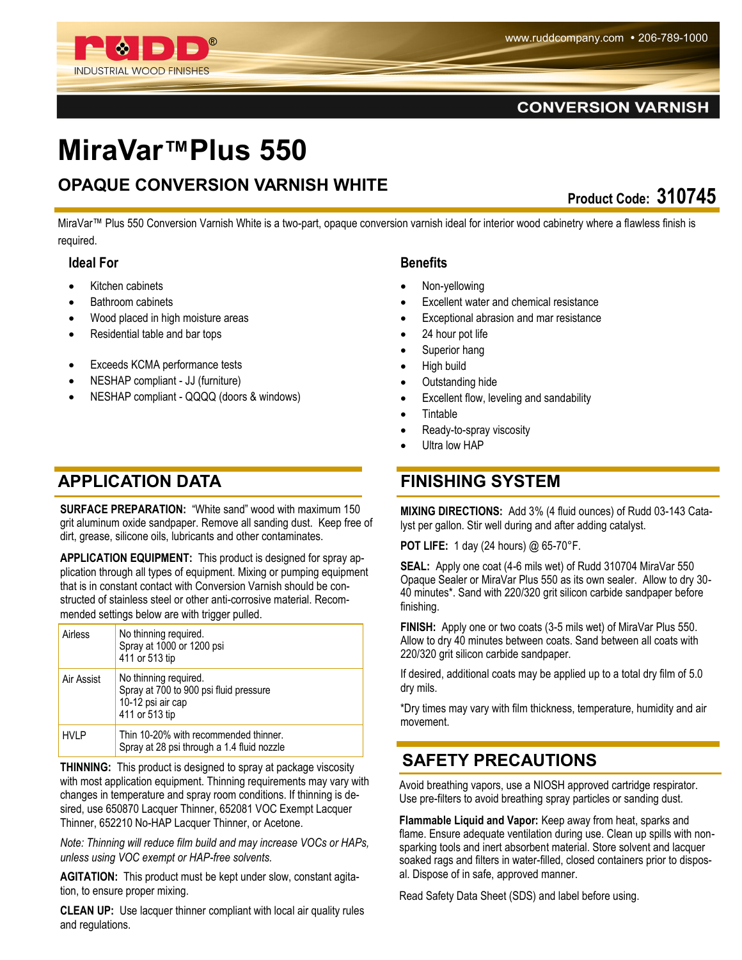

# **MiraVar™Plus 550**

## **OPAQUE CONVERSION VARNISH WHITE**

**Product Code: 310745** 

MiraVar™ Plus 550 Conversion Varnish White is a two-part, opaque conversion varnish ideal for interior wood cabinetry where a flawless finish is required.

#### **Ideal For**

- Kitchen cabinets
- Bathroom cabinets
- Wood placed in high moisture areas
- Residential table and bar tops

**INDUSTRIAL WOOD FINISHES** 

- Exceeds KCMA performance tests
- NESHAP compliant JJ (furniture)
- NESHAP compliant QQQQ (doors & windows)

#### **APPLICATION DATA FINISHING SYSTEM**

**SURFACE PREPARATION: "White sand" wood with maximum 150** grit aluminum oxide sandpaper. Remove all sanding dust. Keep free of dirt, grease, silicone oils, lubricants and other contaminates.

**APPLICATION EQUIPMENT:** This product is designed for spray application through all types of equipment. Mixing or pumping equipment that is in constant contact with Conversion Varnish should be constructed of stainless steel or other anti-corrosive material. Recommended settings below are with trigger pulled.

| Airless     | No thinning required.<br>Spray at 1000 or 1200 psi<br>411 or 513 tip                                   |
|-------------|--------------------------------------------------------------------------------------------------------|
| Air Assist  | No thinning required.<br>Spray at 700 to 900 psi fluid pressure<br>10-12 psi air cap<br>411 or 513 tip |
| <b>HVLP</b> | Thin 10-20% with recommended thinner.<br>Spray at 28 psi through a 1.4 fluid nozzle                    |

**THINNING:** This product is designed to spray at package viscosity with most application equipment. Thinning requirements may vary with changes in temperature and spray room conditions. If thinning is desired, use 650870 Lacquer Thinner, 652081 VOC Exempt Lacquer Thinner, 652210 No-HAP Lacquer Thinner, or Acetone.

*Note: Thinning will reduce film build and may increase VOCs or HAPs, unless using VOC exempt or HAP-free solvents.*

**AGITATION:** This product must be kept under slow, constant agitation, to ensure proper mixing.

**CLEAN UP:** Use lacquer thinner compliant with local air quality rules and regulations.

#### **Benefits**

- Non-yellowing
- Excellent water and chemical resistance
- Exceptional abrasion and mar resistance
- 24 hour pot life
- Superior hang
- High build
- Outstanding hide
- Excellent flow, leveling and sandability
- **Tintable**
- Ready-to-spray viscosity
- Ultra low HAP

**MIXING DIRECTIONS:** Add 3% (4 fluid ounces) of Rudd 03-143 Catalyst per gallon. Stir well during and after adding catalyst.

**POT LIFE:** 1 day (24 hours) @ 65-70°F.

**SEAL:** Apply one coat (4-6 mils wet) of Rudd 310704 MiraVar 550 Opaque Sealer or MiraVar Plus 550 as its own sealer. Allow to dry 30- 40 minutes\*. Sand with 220/320 grit silicon carbide sandpaper before finishing.

**FINISH:** Apply one or two coats (3-5 mils wet) of MiraVar Plus 550. Allow to dry 40 minutes between coats. Sand between all coats with 220/320 grit silicon carbide sandpaper.

If desired, additional coats may be applied up to a total dry film of 5.0 dry mils.

\*Dry times may vary with film thickness, temperature, humidity and air movement.

#### **SAFETY PRECAUTIONS**

Avoid breathing vapors, use a NIOSH approved cartridge respirator. Use pre-filters to avoid breathing spray particles or sanding dust.

**Flammable Liquid and Vapor:** Keep away from heat, sparks and flame. Ensure adequate ventilation during use. Clean up spills with nonsparking tools and inert absorbent material. Store solvent and lacquer soaked rags and filters in water-filled, closed containers prior to disposal. Dispose of in safe, approved manner.

Read Safety Data Sheet (SDS) and label before using.